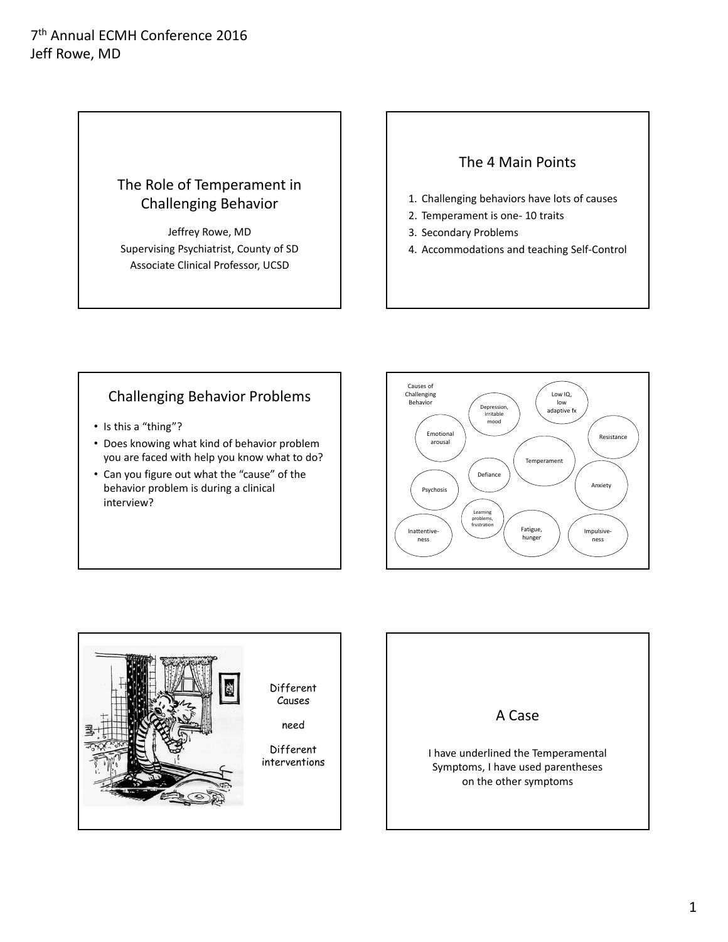# The Role of Temperament in Challenging Behavior

Jeffrey Rowe, MD Supervising Psychiatrist, County of SD Associate Clinical Professor, UCSD

## The 4 Main Points

- 1. Challenging behaviors have lots of causes
- 2. Temperament is one‐ 10 traits
- 3. Secondary Problems
- 4. Accommodations and teaching Self‐Control

## Challenging Behavior Problems

- Is this a "thing"?
- Does knowing what kind of behavior problem you are faced with help you know what to do?
- Can you figure out what the "cause" of the behavior problem is during a clinical interview?





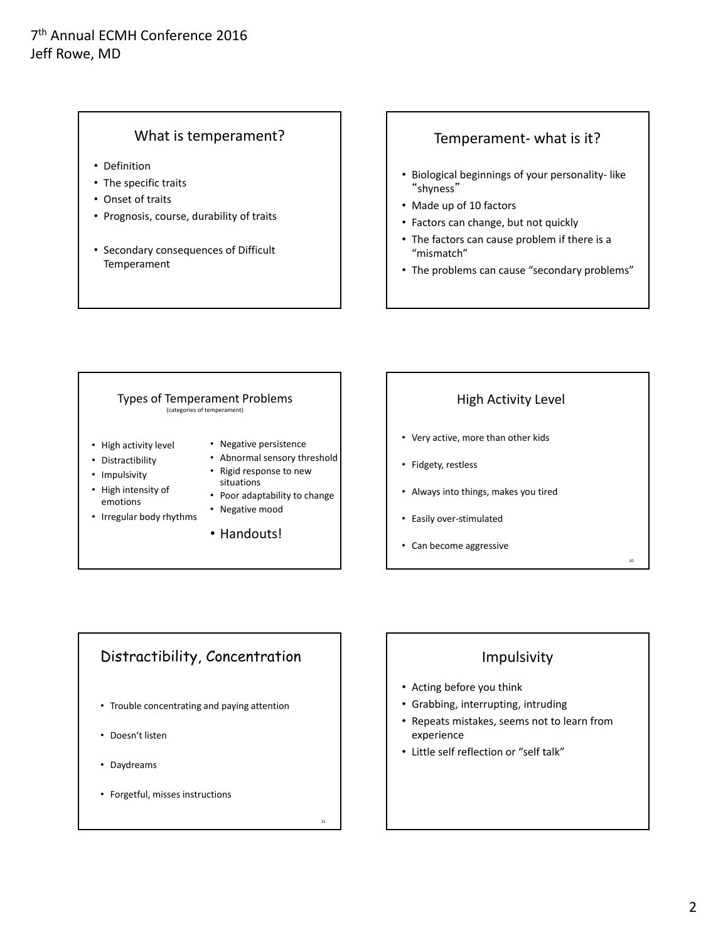### What is temperament?

- Definition
- The specific traits
- Onset of traits
- Prognosis, course, durability of traits
- Secondary consequences of Difficult Temperament

### Temperament‐ what is it?

- Biological beginnings of your personality‐ like "shyness"
- Made up of 10 factors
- Factors can change, but not quickly
- The factors can cause problem if there is a "mismatch"
- The problems can cause "secondary problems"

#### Types of Temperament Problems (categories of temperament) • High activity level • Distractibility • Impulsivity • High intensity of emotions • Irregular body rhythms • Negative persistence • Abnormal sensory threshold • Rigid response to new situations • Poor adaptability to change • Negative mood • Handouts!

## High Activity Level

- Very active, more than other kids
- Fidgety, restless
- Always into things, makes you tired
- Easily over‐stimulated
- Can become aggressive

# Distractibility, Concentration

• Trouble concentrating and paying attention

11

- Doesn't listen
- Daydreams
- Forgetful, misses instructions

## Impulsivity

- Acting before you think
- Grabbing, interrupting, intruding
- Repeats mistakes, seems not to learn from experience
- Little self reflection or "self talk"

10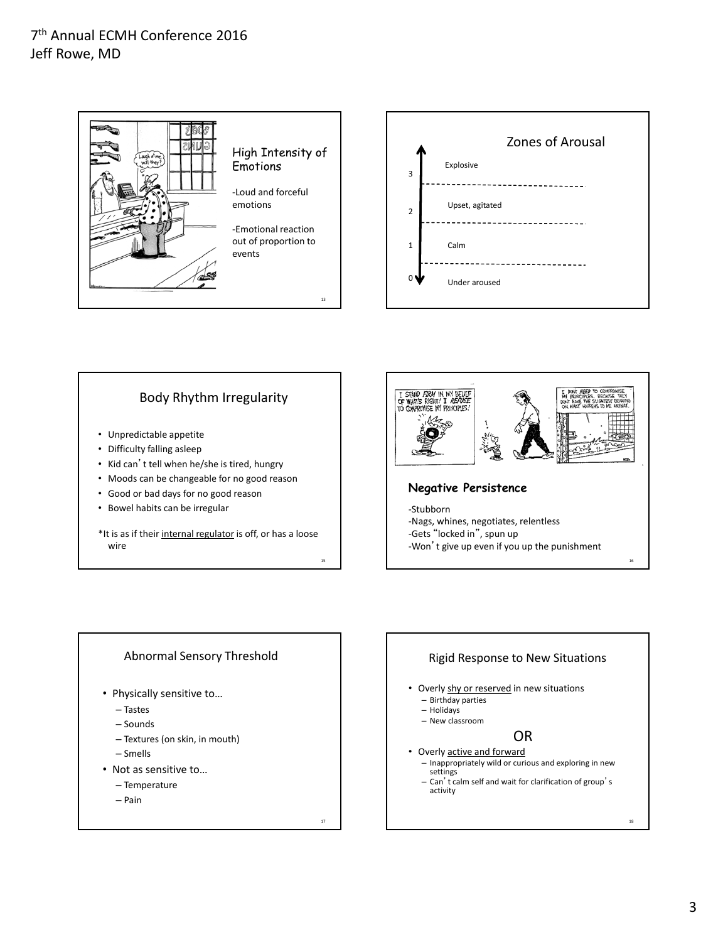



### Body Rhythm Irregularity

- Unpredictable appetite
- Difficulty falling asleep
- Kid can't tell when he/she is tired, hungry
- Moods can be changeable for no good reason
- Good or bad days for no good reason
- Bowel habits can be irregular
- \*It is as if their internal regulator is off, or has a loose wire

15

17



#### Abnormal Sensory Threshold

- Physically sensitive to…
	- Tastes
	- Sounds
	- Textures (on skin, in mouth)
	- Smells
- Not as sensitive to…
	- Temperature
	- Pain

Rigid Response to New Situations • Overly shy or reserved in new situations – Birthday parties – Holidays – New classroom OR • Overly active and forward – Inappropriately wild or curious and exploring in new settings – Can't calm self and wait for clarification of group'<sup>s</sup> activity

18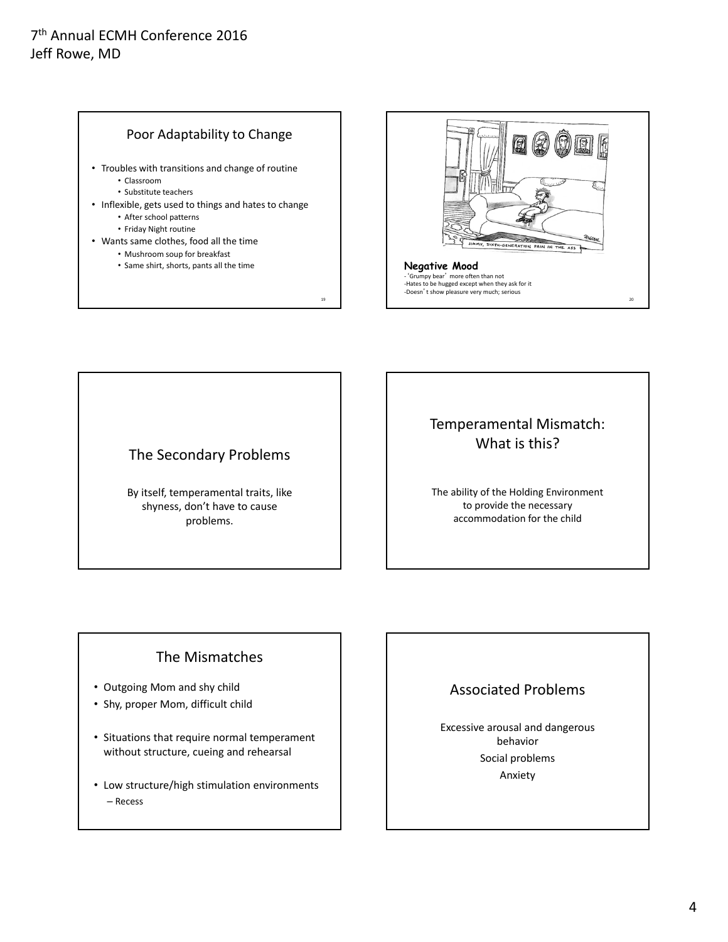



## The Secondary Problems

By itself, temperamental traits, like shyness, don't have to cause problems.

# Temperamental Mismatch: What is this?

The ability of the Holding Environment to provide the necessary accommodation for the child

## The Mismatches

- Outgoing Mom and shy child
- Shy, proper Mom, difficult child
- Situations that require normal temperament without structure, cueing and rehearsal
- Low structure/high stimulation environments – Recess

# Associated Problems

Excessive arousal and dangerous behavior Social problems Anxiety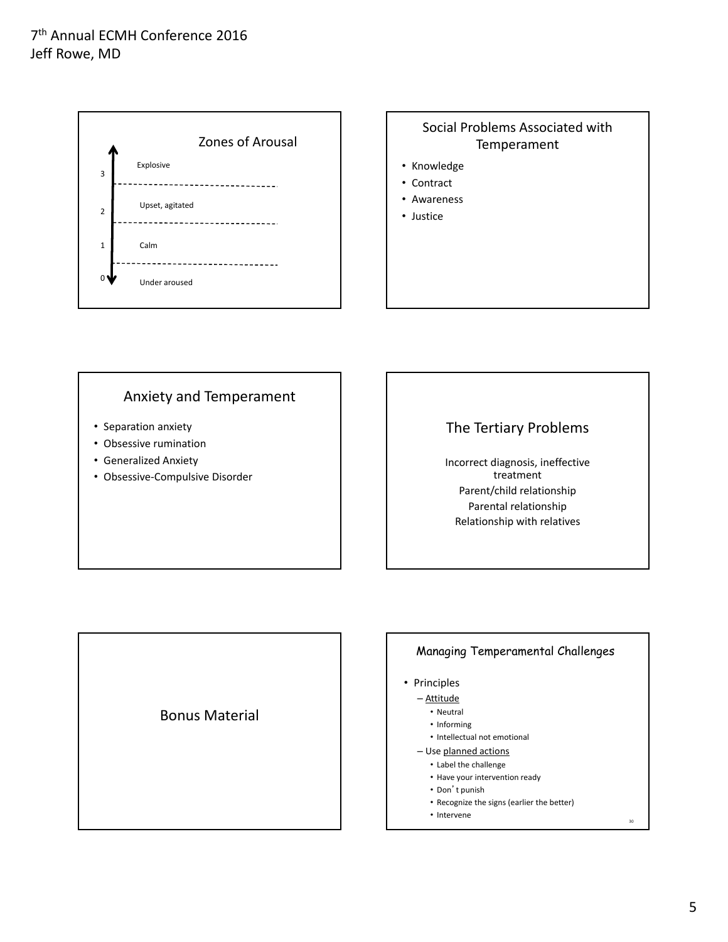

### Social Problems Associated with Temperament

- Knowledge
- Contract
- Awareness
- Justice

### Anxiety and Temperament

- Separation anxiety
- Obsessive rumination
- Generalized Anxiety
- Obsessive‐Compulsive Disorder

## The Tertiary Problems

Incorrect diagnosis, ineffective treatment Parent/child relationship Parental relationship Relationship with relatives

Bonus Material

#### Managing Temperamental Challenges

- Principles
	- Attitude
		- Neutral
		- Informing
		- Intellectual not emotional
	- Use planned actions
		- Label the challenge • Have your intervention ready
		- Don't punish
		-
		- Recognize the signs (earlier the better)
		- $•$  Intervene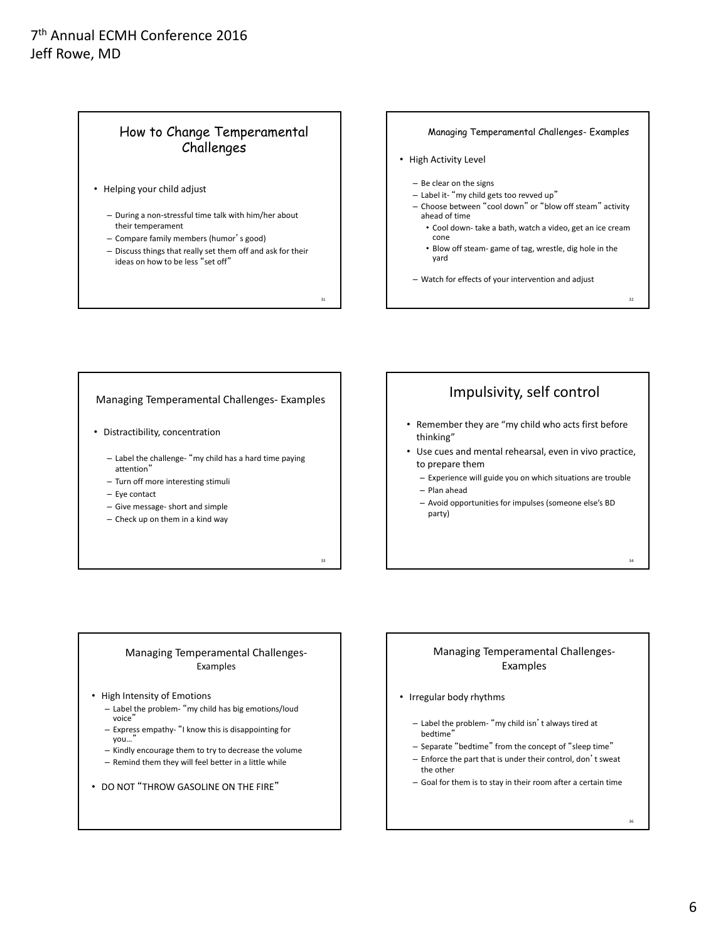### How to Change Temperamental Challenges

- Helping your child adjust
	- During a non‐stressful time talk with him/her about their temperament
	- Compare family members (humor's good)
	- Discuss things that really set them off and ask for their ideas on how to be less "set off"

31

33

#### Managing Temperamental Challenges- Examples

- High Activity Level
	- Be clear on the signs
	- Label it‐ "my child gets too revved up"
	- Choose between "cool down" or "blow off steam" activity ahead of time
		- Cool down‐ take a bath, watch a video, get an ice cream cone
		- Blow off steam‐ game of tag, wrestle, dig hole in the yard

32

34

36

– Watch for effects of your intervention and adjust

#### Managing Temperamental Challenges‐ Examples

- Distractibility, concentration
	- Label the challenge‐ "my child has a hard time paying attention"
	- Turn off more interesting stimuli
	- Eye contact
	- Give message‐ short and simple
	- Check up on them in a kind way

## Impulsivity, self control

- Remember they are "my child who acts first before thinking"
- Use cues and mental rehearsal, even in vivo practice, to prepare them
	- Experience will guide you on which situations are trouble – Plan ahead
	- Avoid opportunities for impulses (someone else's BD party)

#### Managing Temperamental Challenges‐ Examples

- High Intensity of Emotions
	- Label the problem‐ "my child has big emotions/loud voice"
	- Express empathy‐ "I know this is disappointing for you...
	- Kindly encourage them to try to decrease the volume
	- Remind them they will feel better in a little while
- DO NOT "THROW GASOLINE ON THE FIRE"

#### Managing Temperamental Challenges‐ Examples

- Irregular body rhythms
	- Label the problem‐ "my child isn't always tired at bedtime"
	- Separate "bedtime" from the concept of "sleep time"
	- Enforce the part that is under their control, don't sweat the other
	- Goal for them is to stay in their room after a certain time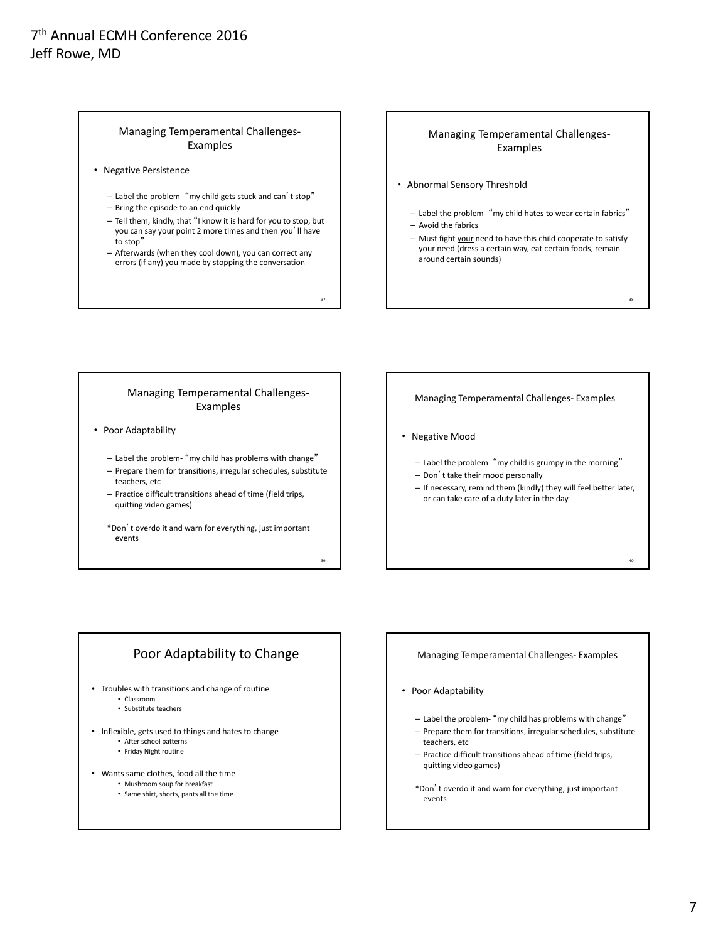#### Managing Temperamental Challenges‐ Examples

- Negative Persistence
	- Label the problem‐ "my child gets stuck and can't stop" – Bring the episode to an end quickly
	- Tell them, kindly, that "I know it is hard for you to stop, but you can say your point 2 more times and then you'll have to stop"
	- Afterwards (when they cool down), you can correct any errors (if any) you made by stopping the conversation

37

39

#### Managing Temperamental Challenges‐ Examples

- Abnormal Sensory Threshold
	- Label the problem‐ "my child hates to wear certain fabrics" – Avoid the fabrics
	- Must fight your need to have this child cooperate to satisfy your need (dress a certain way, eat certain foods, remain around certain sounds)

38

40

#### Managing Temperamental Challenges‐ Examples

• Poor Adaptability

– Label the problem‐ "my child has problems with change" – Prepare them for transitions, irregular schedules, substitute

- teachers, etc
- Practice difficult transitions ahead of time (field trips, quitting video games)

\*Don't overdo it and warn for everything, just important events

Managing Temperamental Challenges‐ Examples

- Negative Mood
	- Label the problem‐ "my child is grumpy in the morning"
	- Don't take their mood personally
	- If necessary, remind them (kindly) they will feel better later, or can take care of a duty later in the day

### Poor Adaptability to Change

- Troubles with transitions and change of routine • Classroom
	- Substitute teachers
- Inflexible, gets used to things and hates to change
	- After school patterns • Friday Night routine
	-
- Wants same clothes, food all the time
	- Mushroom soup for breakfast
	- Same shirt, shorts, pants all the time

#### Managing Temperamental Challenges‐ Examples

- Poor Adaptability
	- Label the problem‐ "my child has problems with change"
	- Prepare them for transitions, irregular schedules, substitute teachers, etc
	- Practice difficult transitions ahead of time (field trips, quitting video games)
	- \*Don't overdo it and warn for everything, just important events